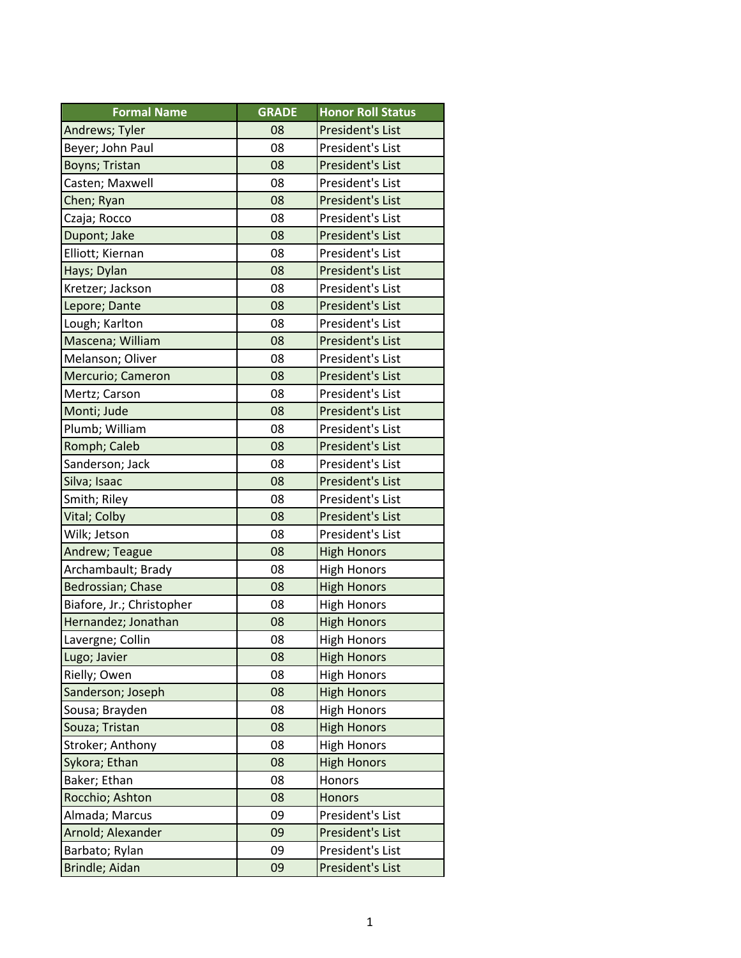| <b>Formal Name</b>        | <b>GRADE</b> | <b>Honor Roll Status</b> |
|---------------------------|--------------|--------------------------|
| Andrews; Tyler            | 08           | President's List         |
| Beyer; John Paul          | 08           | President's List         |
| Boyns; Tristan            | 08           | President's List         |
| Casten; Maxwell           | 08           | President's List         |
| Chen; Ryan                | 08           | President's List         |
| Czaja; Rocco              | 08           | President's List         |
| Dupont; Jake              | 08           | President's List         |
| Elliott; Kiernan          | 08           | President's List         |
| Hays; Dylan               | 08           | President's List         |
| Kretzer; Jackson          | 08           | President's List         |
| Lepore; Dante             | 08           | President's List         |
| Lough; Karlton            | 08           | President's List         |
| Mascena; William          | 08           | President's List         |
| Melanson; Oliver          | 08           | President's List         |
| Mercurio; Cameron         | 08           | President's List         |
| Mertz; Carson             | 08           | President's List         |
| Monti; Jude               | 08           | President's List         |
| Plumb; William            | 08           | President's List         |
| Romph; Caleb              | 08           | President's List         |
| Sanderson; Jack           | 08           | President's List         |
| Silva; Isaac              | 08           | President's List         |
| Smith; Riley              | 08           | President's List         |
| <b>Vital</b> ; Colby      | 08           | President's List         |
| Wilk; Jetson              | 08           | President's List         |
| Andrew; Teague            | 08           | <b>High Honors</b>       |
| Archambault; Brady        | 08           | <b>High Honors</b>       |
| Bedrossian; Chase         | 08           | <b>High Honors</b>       |
| Biafore, Jr.; Christopher | 08           | <b>High Honors</b>       |
| Hernandez; Jonathan       | 08           | <b>High Honors</b>       |
| Lavergne; Collin          | 08           | <b>High Honors</b>       |
| Lugo; Javier              | 08           | <b>High Honors</b>       |
| Rielly; Owen              | 08           | <b>High Honors</b>       |
| Sanderson; Joseph         | 08           | <b>High Honors</b>       |
| Sousa; Brayden            | 08           | <b>High Honors</b>       |
| Souza; Tristan            | 08           | <b>High Honors</b>       |
| Stroker; Anthony          | 08           | <b>High Honors</b>       |
| Sykora; Ethan             | 08           | <b>High Honors</b>       |
| Baker; Ethan              | 08           | Honors                   |
| Rocchio; Ashton           | 08           | Honors                   |
| Almada; Marcus            | 09           | President's List         |
| Arnold; Alexander         | 09           | President's List         |
| Barbato; Rylan            | 09           | President's List         |
| Brindle; Aidan            | 09           | President's List         |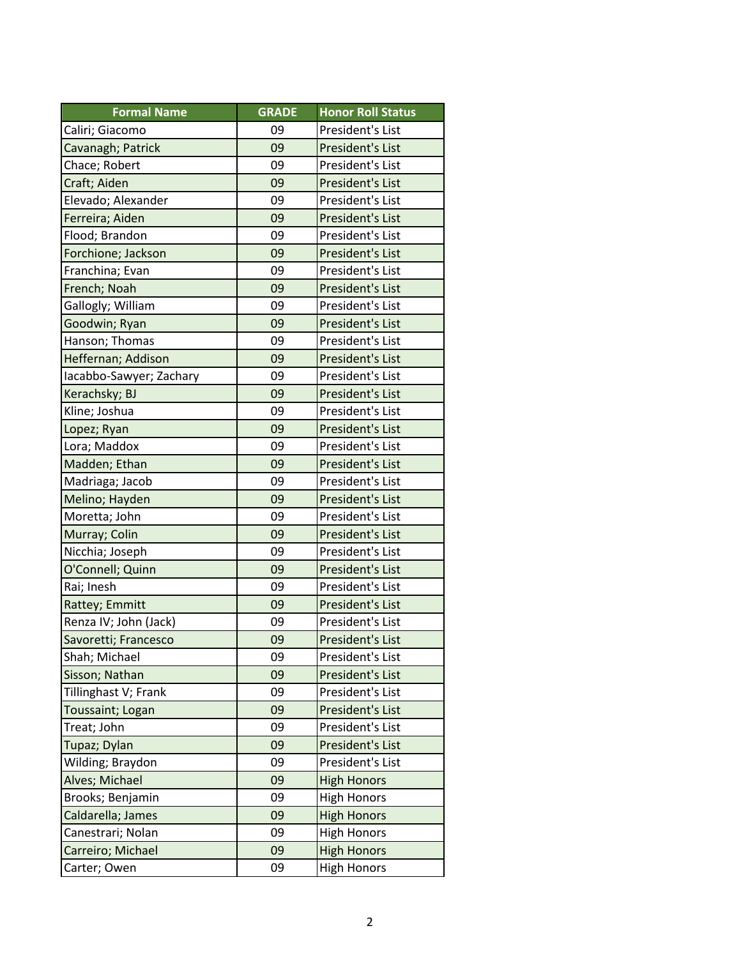| <b>Formal Name</b>      | <b>GRADE</b> | <b>Honor Roll Status</b> |
|-------------------------|--------------|--------------------------|
| Caliri; Giacomo         | 09           | President's List         |
| Cavanagh; Patrick       | 09           | President's List         |
| Chace; Robert           | 09           | President's List         |
| Craft; Aiden            | 09           | President's List         |
| Elevado; Alexander      | 09           | President's List         |
| Ferreira; Aiden         | 09           | President's List         |
| Flood; Brandon          | 09           | President's List         |
| Forchione; Jackson      | 09           | President's List         |
| Franchina; Evan         | 09           | President's List         |
| French; Noah            | 09           | President's List         |
| Gallogly; William       | 09           | President's List         |
| Goodwin; Ryan           | 09           | President's List         |
| Hanson; Thomas          | 09           | President's List         |
| Heffernan; Addison      | 09           | President's List         |
| Iacabbo-Sawyer; Zachary | 09           | President's List         |
| Kerachsky; BJ           | 09           | President's List         |
| Kline; Joshua           | 09           | President's List         |
| Lopez; Ryan             | 09           | President's List         |
| Lora; Maddox            | 09           | President's List         |
| Madden; Ethan           | 09           | President's List         |
| Madriaga; Jacob         | 09           | President's List         |
| Melino; Hayden          | 09           | <b>President's List</b>  |
| Moretta; John           | 09           | President's List         |
| Murray; Colin           | 09           | President's List         |
| Nicchia; Joseph         | 09           | President's List         |
| O'Connell; Quinn        | 09           | President's List         |
| Rai; Inesh              | 09           | President's List         |
| Rattey; Emmitt          | 09           | President's List         |
| Renza IV; John (Jack)   | 09           | President's List         |
| Savoretti; Francesco    | 09           | <b>President's List</b>  |
| Shah; Michael           | 09           | President's List         |
| Sisson; Nathan          | 09           | President's List         |
| Tillinghast V; Frank    | 09           | President's List         |
| Toussaint; Logan        | 09           | President's List         |
| Treat; John             | 09           | President's List         |
| Tupaz; Dylan            | 09           | President's List         |
| Wilding; Braydon        | 09           | President's List         |
| Alves; Michael          | 09           | <b>High Honors</b>       |
| Brooks; Benjamin        | 09           | <b>High Honors</b>       |
| Caldarella; James       | 09           | <b>High Honors</b>       |
| Canestrari; Nolan       | 09           | <b>High Honors</b>       |
| Carreiro; Michael       | 09           | <b>High Honors</b>       |
| Carter; Owen            | 09           | <b>High Honors</b>       |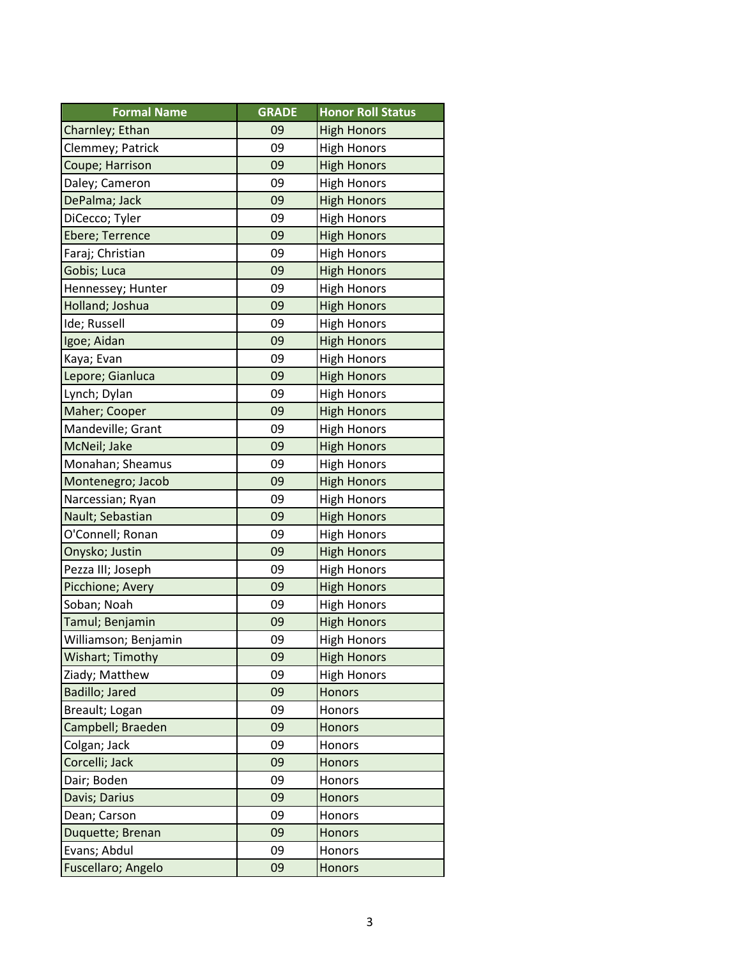| <b>Formal Name</b>   | <b>GRADE</b> | <b>Honor Roll Status</b> |
|----------------------|--------------|--------------------------|
| Charnley; Ethan      | 09           | <b>High Honors</b>       |
| Clemmey; Patrick     | 09           | <b>High Honors</b>       |
| Coupe; Harrison      | 09           | <b>High Honors</b>       |
| Daley; Cameron       | 09           | <b>High Honors</b>       |
| DePalma; Jack        | 09           | <b>High Honors</b>       |
| DiCecco; Tyler       | 09           | <b>High Honors</b>       |
| Ebere; Terrence      | 09           | <b>High Honors</b>       |
| Faraj; Christian     | 09           | <b>High Honors</b>       |
| Gobis; Luca          | 09           | <b>High Honors</b>       |
| Hennessey; Hunter    | 09           | <b>High Honors</b>       |
| Holland; Joshua      | 09           | <b>High Honors</b>       |
| Ide; Russell         | 09           | <b>High Honors</b>       |
| Igoe; Aidan          | 09           | <b>High Honors</b>       |
| Kaya; Evan           | 09           | <b>High Honors</b>       |
| Lepore; Gianluca     | 09           | <b>High Honors</b>       |
| Lynch; Dylan         | 09           | <b>High Honors</b>       |
| Maher; Cooper        | 09           | <b>High Honors</b>       |
| Mandeville; Grant    | 09           | <b>High Honors</b>       |
| McNeil; Jake         | 09           | <b>High Honors</b>       |
| Monahan; Sheamus     | 09           | <b>High Honors</b>       |
| Montenegro; Jacob    | 09           | <b>High Honors</b>       |
| Narcessian; Ryan     | 09           | <b>High Honors</b>       |
| Nault; Sebastian     | 09           | <b>High Honors</b>       |
| O'Connell; Ronan     | 09           | <b>High Honors</b>       |
| Onysko; Justin       | 09           | <b>High Honors</b>       |
| Pezza III; Joseph    | 09           | <b>High Honors</b>       |
| Picchione; Avery     | 09           | <b>High Honors</b>       |
| Soban; Noah          | 09           | <b>High Honors</b>       |
| Tamul; Benjamin      | 09           | <b>High Honors</b>       |
| Williamson; Benjamin | 09           | <b>High Honors</b>       |
| Wishart; Timothy     | 09           | <b>High Honors</b>       |
| Ziady; Matthew       | 09           | <b>High Honors</b>       |
| Badillo; Jared       | 09           | Honors                   |
| Breault; Logan       | 09           | Honors                   |
| Campbell; Braeden    | 09           | <b>Honors</b>            |
| Colgan; Jack         | 09           | Honors                   |
| Corcelli; Jack       | 09           | Honors                   |
| Dair; Boden          | 09           | Honors                   |
| Davis; Darius        | 09           | Honors                   |
| Dean; Carson         | 09           | Honors                   |
| Duquette; Brenan     | 09           | Honors                   |
| Evans; Abdul         | 09           | Honors                   |
| Fuscellaro; Angelo   | 09           | <b>Honors</b>            |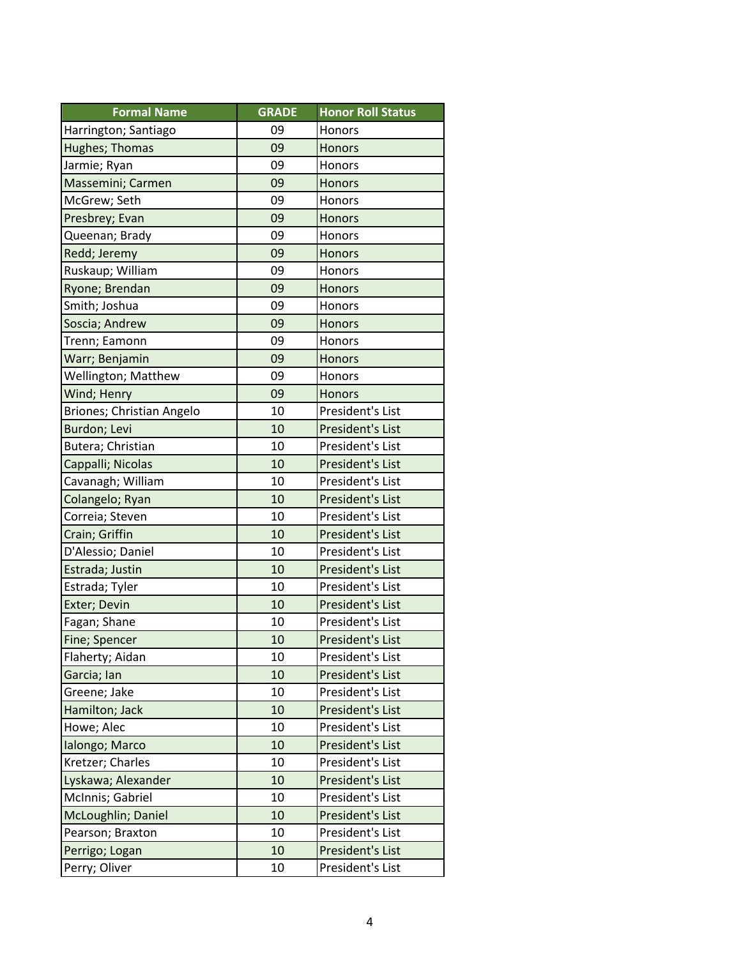| <b>Formal Name</b>         | <b>GRADE</b> | <b>Honor Roll Status</b> |
|----------------------------|--------------|--------------------------|
| Harrington; Santiago       | 09           | Honors                   |
| Hughes; Thomas             | 09           | <b>Honors</b>            |
| Jarmie; Ryan               | 09           | Honors                   |
| Massemini; Carmen          | 09           | <b>Honors</b>            |
| McGrew; Seth               | 09           | Honors                   |
| Presbrey; Evan             | 09           | Honors                   |
| Queenan; Brady             | 09           | Honors                   |
| Redd; Jeremy               | 09           | Honors                   |
| Ruskaup; William           | 09           | Honors                   |
| Ryone; Brendan             | 09           | Honors                   |
| Smith; Joshua              | 09           | Honors                   |
| Soscia; Andrew             | 09           | Honors                   |
| Trenn; Eamonn              | 09           | Honors                   |
| Warr; Benjamin             | 09           | <b>Honors</b>            |
| <b>Wellington; Matthew</b> | 09           | Honors                   |
| Wind; Henry                | 09           | <b>Honors</b>            |
| Briones; Christian Angelo  | 10           | President's List         |
| Burdon; Levi               | 10           | President's List         |
| Butera; Christian          | 10           | President's List         |
| Cappalli; Nicolas          | 10           | President's List         |
| Cavanagh; William          | 10           | President's List         |
| Colangelo; Ryan            | 10           | President's List         |
| Correia; Steven            | 10           | President's List         |
| Crain; Griffin             | 10           | President's List         |
| D'Alessio; Daniel          | 10           | President's List         |
| Estrada; Justin            | 10           | President's List         |
| Estrada; Tyler             | 10           | President's List         |
| Exter; Devin               | 10           | President's List         |
| Fagan; Shane               | 10           | President's List         |
| Fine; Spencer              | 10           | President's List         |
| Flaherty; Aidan            | 10           | President's List         |
| Garcia; Ian                | 10           | President's List         |
| Greene; Jake               | 10           | President's List         |
| Hamilton; Jack             | 10           | President's List         |
| Howe; Alec                 | 10           | President's List         |
| Ialongo; Marco             | 10           | President's List         |
| Kretzer; Charles           | 10           | President's List         |
| Lyskawa; Alexander         | 10           | President's List         |
| McInnis; Gabriel           | 10           | President's List         |
| McLoughlin; Daniel         | 10           | President's List         |
| Pearson; Braxton           | 10           | President's List         |
| Perrigo; Logan             | 10           | President's List         |
| Perry; Oliver              | 10           | President's List         |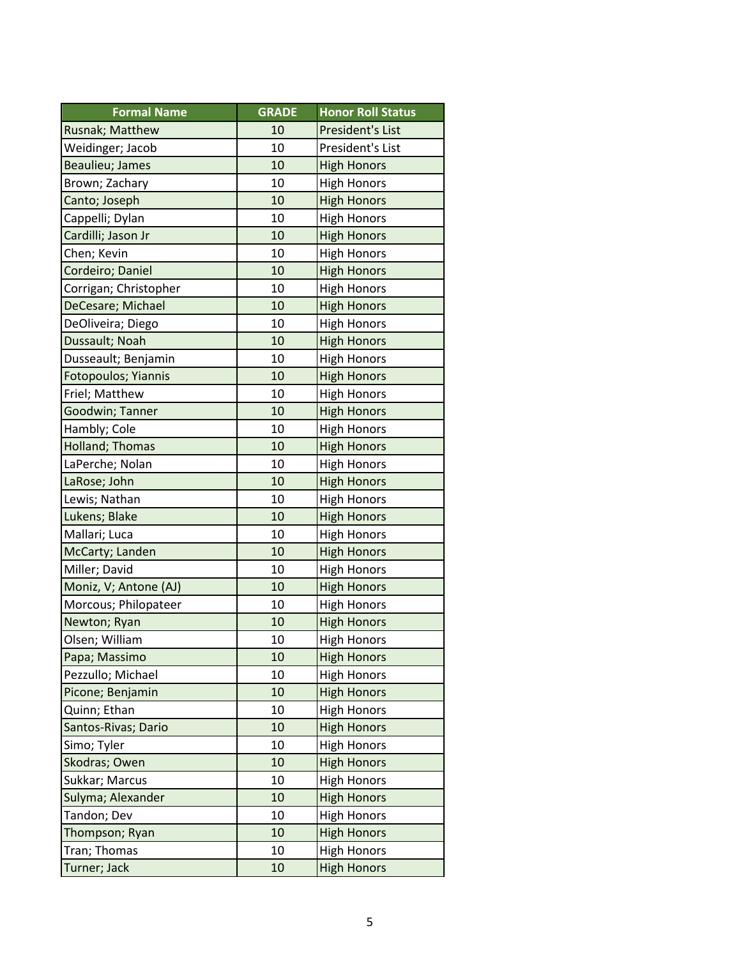| <b>Formal Name</b>    | <b>GRADE</b> | <b>Honor Roll Status</b> |
|-----------------------|--------------|--------------------------|
| Rusnak; Matthew       | 10           | President's List         |
| Weidinger; Jacob      | 10           | President's List         |
| Beaulieu; James       | 10           | <b>High Honors</b>       |
| Brown; Zachary        | 10           | <b>High Honors</b>       |
| Canto; Joseph         | 10           | <b>High Honors</b>       |
| Cappelli; Dylan       | 10           | <b>High Honors</b>       |
| Cardilli; Jason Jr    | 10           | <b>High Honors</b>       |
| Chen; Kevin           | 10           | <b>High Honors</b>       |
| Cordeiro; Daniel      | 10           | <b>High Honors</b>       |
| Corrigan; Christopher | 10           | <b>High Honors</b>       |
| DeCesare; Michael     | 10           | <b>High Honors</b>       |
| DeOliveira; Diego     | 10           | <b>High Honors</b>       |
| Dussault; Noah        | 10           | <b>High Honors</b>       |
| Dusseault; Benjamin   | 10           | <b>High Honors</b>       |
| Fotopoulos; Yiannis   | 10           | <b>High Honors</b>       |
| Friel; Matthew        | 10           | <b>High Honors</b>       |
| Goodwin; Tanner       | 10           | <b>High Honors</b>       |
| Hambly; Cole          | 10           | <b>High Honors</b>       |
| Holland; Thomas       | 10           | <b>High Honors</b>       |
| LaPerche; Nolan       | 10           | <b>High Honors</b>       |
| LaRose; John          | 10           | <b>High Honors</b>       |
| Lewis; Nathan         | 10           | <b>High Honors</b>       |
| Lukens; Blake         | 10           | <b>High Honors</b>       |
| Mallari; Luca         | 10           | <b>High Honors</b>       |
| McCarty; Landen       | 10           | <b>High Honors</b>       |
| Miller; David         | 10           | <b>High Honors</b>       |
| Moniz, V; Antone (AJ) | 10           | <b>High Honors</b>       |
| Morcous; Philopateer  | 10           | <b>High Honors</b>       |
| Newton; Ryan          | 10           | <b>High Honors</b>       |
| Olsen; William        | 10           | <b>High Honors</b>       |
| Papa; Massimo         | 10           | <b>High Honors</b>       |
| Pezzullo; Michael     | 10           | <b>High Honors</b>       |
| Picone; Benjamin      | 10           | <b>High Honors</b>       |
| Quinn; Ethan          | 10           | <b>High Honors</b>       |
| Santos-Rivas; Dario   | 10           | <b>High Honors</b>       |
| Simo; Tyler           | 10           | <b>High Honors</b>       |
| Skodras; Owen         | 10           | <b>High Honors</b>       |
| Sukkar; Marcus        | 10           | <b>High Honors</b>       |
| Sulyma; Alexander     | 10           | <b>High Honors</b>       |
| Tandon; Dev           | 10           | <b>High Honors</b>       |
| Thompson; Ryan        | 10           | <b>High Honors</b>       |
| Tran; Thomas          | 10           | <b>High Honors</b>       |
| Turner; Jack          | 10           | <b>High Honors</b>       |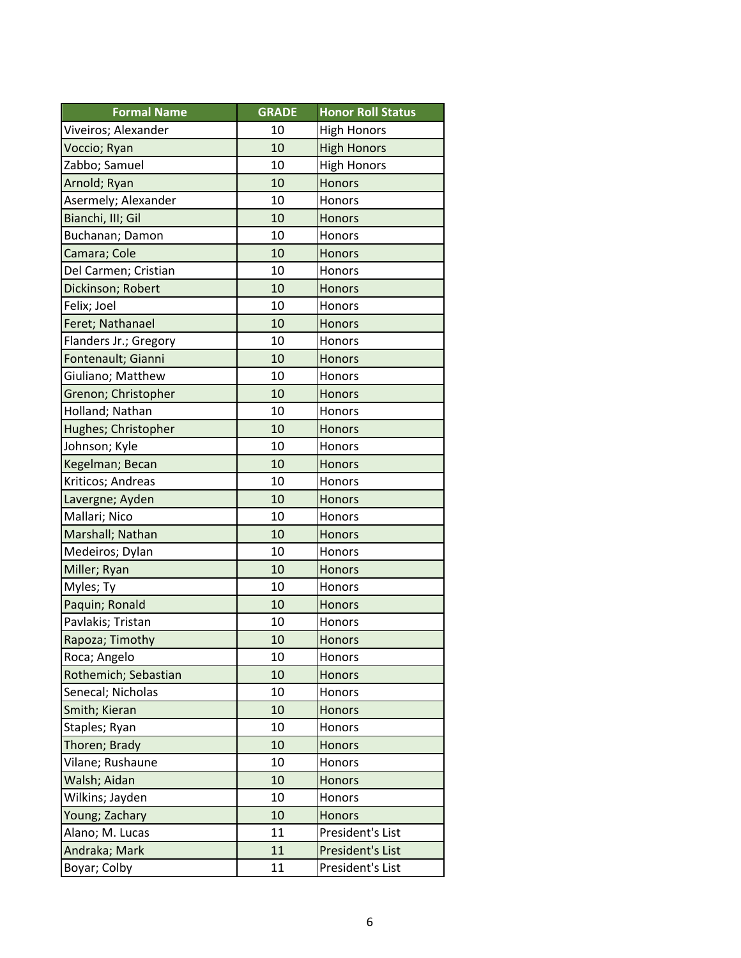| <b>Formal Name</b>    | <b>GRADE</b> | <b>Honor Roll Status</b> |
|-----------------------|--------------|--------------------------|
| Viveiros; Alexander   | 10           | <b>High Honors</b>       |
| Voccio; Ryan          | 10           | <b>High Honors</b>       |
| Zabbo; Samuel         | 10           | <b>High Honors</b>       |
| Arnold; Ryan          | 10           | <b>Honors</b>            |
| Asermely; Alexander   | 10           | Honors                   |
| Bianchi, III; Gil     | 10           | Honors                   |
| Buchanan; Damon       | 10           | Honors                   |
| Camara; Cole          | 10           | <b>Honors</b>            |
| Del Carmen; Cristian  | 10           | Honors                   |
| Dickinson; Robert     | 10           | Honors                   |
| Felix; Joel           | 10           | Honors                   |
| Feret; Nathanael      | 10           | <b>Honors</b>            |
| Flanders Jr.; Gregory | 10           | Honors                   |
| Fontenault; Gianni    | 10           | <b>Honors</b>            |
| Giuliano; Matthew     | 10           | Honors                   |
| Grenon; Christopher   | 10           | <b>Honors</b>            |
| Holland; Nathan       | 10           | Honors                   |
| Hughes; Christopher   | 10           | <b>Honors</b>            |
| Johnson; Kyle         | 10           | Honors                   |
| Kegelman; Becan       | 10           | <b>Honors</b>            |
| Kriticos; Andreas     | 10           | Honors                   |
| Lavergne; Ayden       | 10           | <b>Honors</b>            |
| Mallari; Nico         | 10           | Honors                   |
| Marshall; Nathan      | 10           | Honors                   |
| Medeiros; Dylan       | 10           | Honors                   |
| Miller; Ryan          | 10           | <b>Honors</b>            |
| Myles; Ty             | 10           | Honors                   |
| Paquin; Ronald        | 10           | <b>Honors</b>            |
| Pavlakis; Tristan     | 10           | Honors                   |
| Rapoza; Timothy       | 10           | <b>Honors</b>            |
| Roca; Angelo          | 10           | Honors                   |
| Rothemich; Sebastian  | 10           | Honors                   |
| Senecal; Nicholas     | 10           | Honors                   |
| Smith; Kieran         | 10           | <b>Honors</b>            |
| Staples; Ryan         | 10           | Honors                   |
| Thoren; Brady         | 10           | <b>Honors</b>            |
| Vilane; Rushaune      | 10           | Honors                   |
| Walsh; Aidan          | 10           | Honors                   |
| Wilkins; Jayden       | 10           | Honors                   |
| Young; Zachary        | 10           | <b>Honors</b>            |
| Alano; M. Lucas       | 11           | President's List         |
| Andraka; Mark         | 11           | President's List         |
| Boyar; Colby          | 11           | President's List         |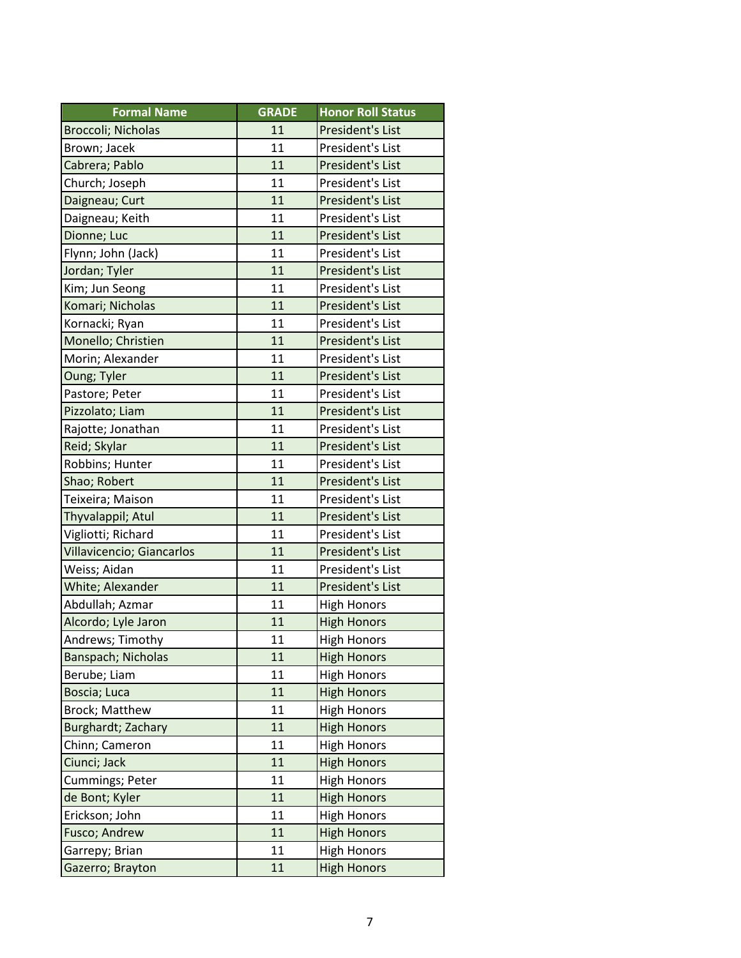| <b>Formal Name</b>        | <b>GRADE</b> | <b>Honor Roll Status</b> |
|---------------------------|--------------|--------------------------|
| Broccoli; Nicholas        | 11           | President's List         |
| Brown; Jacek              | 11           | President's List         |
| Cabrera; Pablo            | 11           | President's List         |
| Church; Joseph            | 11           | President's List         |
| Daigneau; Curt            | 11           | President's List         |
| Daigneau; Keith           | 11           | President's List         |
| Dionne; Luc               | 11           | President's List         |
| Flynn; John (Jack)        | 11           | President's List         |
| Jordan; Tyler             | 11           | President's List         |
| Kim; Jun Seong            | 11           | President's List         |
| Komari; Nicholas          | 11           | President's List         |
| Kornacki; Ryan            | 11           | President's List         |
| Monello; Christien        | 11           | President's List         |
| Morin; Alexander          | 11           | President's List         |
| <b>Oung; Tyler</b>        | 11           | President's List         |
| Pastore; Peter            | 11           | President's List         |
| Pizzolato; Liam           | 11           | President's List         |
| Rajotte; Jonathan         | 11           | President's List         |
| Reid; Skylar              | 11           | President's List         |
| Robbins; Hunter           | 11           | President's List         |
| Shao; Robert              | 11           | President's List         |
| Teixeira; Maison          | 11           | President's List         |
| Thyvalappil; Atul         | 11           | President's List         |
| Vigliotti; Richard        | 11           | President's List         |
| Villavicencio; Giancarlos | 11           | President's List         |
| Weiss; Aidan              | 11           | President's List         |
| White; Alexander          | 11           | President's List         |
| Abdullah; Azmar           | 11           | <b>High Honors</b>       |
| Alcordo; Lyle Jaron       | 11           | <b>High Honors</b>       |
| Andrews; Timothy          | 11           | <b>High Honors</b>       |
| Banspach; Nicholas        | 11           | <b>High Honors</b>       |
| Berube; Liam              | 11           | <b>High Honors</b>       |
| Boscia; Luca              | 11           | <b>High Honors</b>       |
| <b>Brock; Matthew</b>     | 11           | <b>High Honors</b>       |
| Burghardt; Zachary        | 11           | <b>High Honors</b>       |
| Chinn; Cameron            | 11           | <b>High Honors</b>       |
| Ciunci; Jack              | 11           | <b>High Honors</b>       |
| Cummings; Peter           | 11           | <b>High Honors</b>       |
| de Bont; Kyler            | 11           | <b>High Honors</b>       |
| Erickson; John            | 11           | <b>High Honors</b>       |
| Fusco; Andrew             | 11           | <b>High Honors</b>       |
| Garrepy; Brian            | 11           | <b>High Honors</b>       |
| Gazerro; Brayton          | 11           | <b>High Honors</b>       |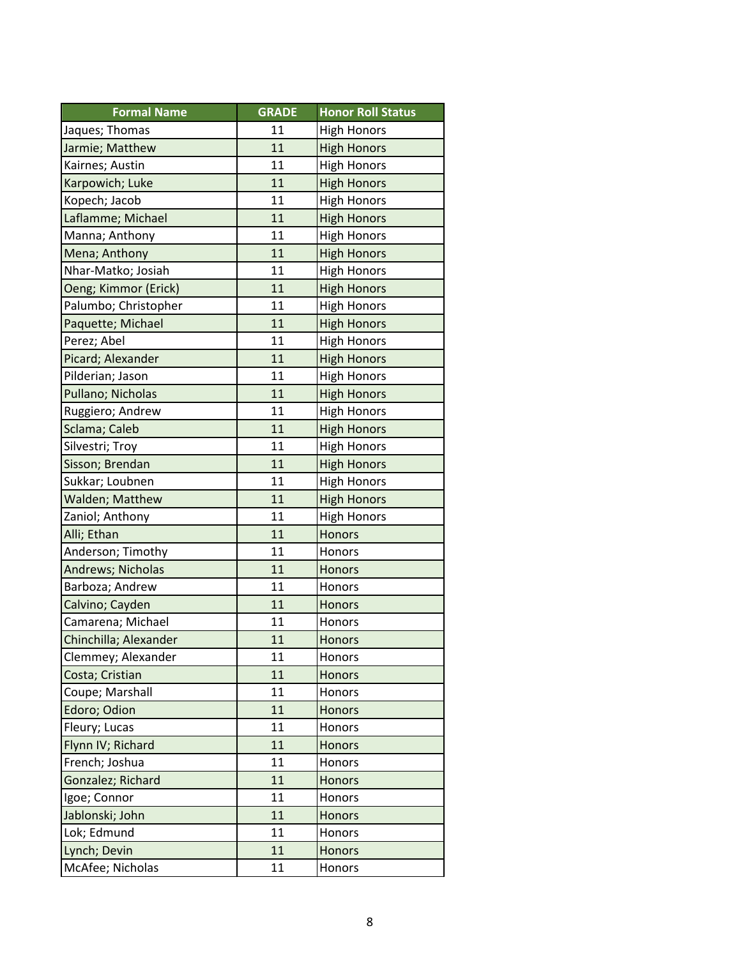| <b>Formal Name</b>    | <b>GRADE</b> | <b>Honor Roll Status</b> |
|-----------------------|--------------|--------------------------|
| Jaques; Thomas        | 11           | <b>High Honors</b>       |
| Jarmie; Matthew       | 11           | <b>High Honors</b>       |
| Kairnes; Austin       | 11           | <b>High Honors</b>       |
| Karpowich; Luke       | 11           | <b>High Honors</b>       |
| Kopech; Jacob         | 11           | <b>High Honors</b>       |
| Laflamme; Michael     | 11           | <b>High Honors</b>       |
| Manna; Anthony        | 11           | <b>High Honors</b>       |
| Mena; Anthony         | 11           | <b>High Honors</b>       |
| Nhar-Matko; Josiah    | 11           | <b>High Honors</b>       |
| Oeng; Kimmor (Erick)  | 11           | <b>High Honors</b>       |
| Palumbo; Christopher  | 11           | <b>High Honors</b>       |
| Paquette; Michael     | 11           | <b>High Honors</b>       |
| Perez; Abel           | 11           | <b>High Honors</b>       |
| Picard; Alexander     | 11           | <b>High Honors</b>       |
| Pilderian; Jason      | 11           | <b>High Honors</b>       |
| Pullano; Nicholas     | 11           | <b>High Honors</b>       |
| Ruggiero; Andrew      | 11           | <b>High Honors</b>       |
| Sclama; Caleb         | 11           | <b>High Honors</b>       |
| Silvestri; Troy       | 11           | <b>High Honors</b>       |
| Sisson; Brendan       | 11           | <b>High Honors</b>       |
| Sukkar; Loubnen       | 11           | <b>High Honors</b>       |
| Walden; Matthew       | 11           | <b>High Honors</b>       |
| Zaniol; Anthony       | 11           | <b>High Honors</b>       |
| Alli; Ethan           | 11           | <b>Honors</b>            |
| Anderson; Timothy     | 11           | Honors                   |
| Andrews; Nicholas     | 11           | <b>Honors</b>            |
| Barboza; Andrew       | 11           | Honors                   |
| Calvino; Cayden       | 11           | <b>Honors</b>            |
| Camarena; Michael     | 11           | Honors                   |
| Chinchilla; Alexander | 11           | <b>Honors</b>            |
| Clemmey; Alexander    | 11           | Honors                   |
| Costa; Cristian       | 11           | <b>Honors</b>            |
| Coupe; Marshall       | 11           | Honors                   |
| Edoro; Odion          | 11           | Honors                   |
| Fleury; Lucas         | 11           | Honors                   |
| Flynn IV; Richard     | 11           | Honors                   |
| French; Joshua        | 11           | Honors                   |
| Gonzalez; Richard     | 11           | <b>Honors</b>            |
| Igoe; Connor          | 11           | Honors                   |
| Jablonski; John       | 11           | <b>Honors</b>            |
| Lok; Edmund           | 11           | Honors                   |
| Lynch; Devin          | 11           | <b>Honors</b>            |
| McAfee; Nicholas      | 11           | Honors                   |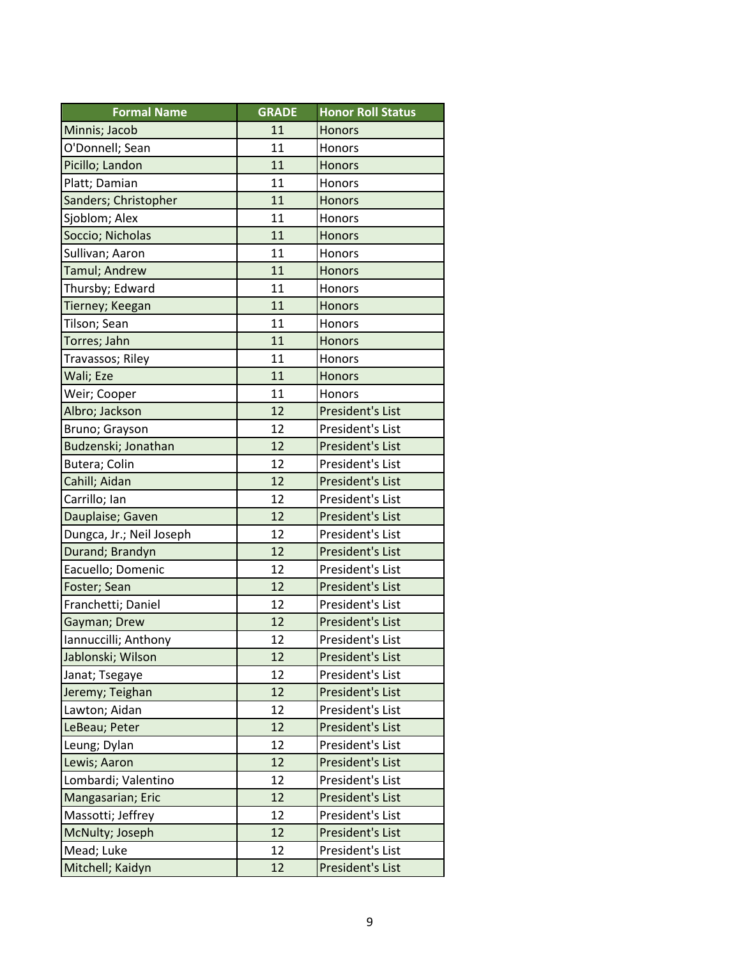| <b>Formal Name</b>       | <b>GRADE</b> | <b>Honor Roll Status</b> |
|--------------------------|--------------|--------------------------|
| Minnis; Jacob            | 11           | <b>Honors</b>            |
| O'Donnell; Sean          | 11           | Honors                   |
| Picillo; Landon          | 11           | <b>Honors</b>            |
| Platt; Damian            | 11           | Honors                   |
| Sanders; Christopher     | 11           | <b>Honors</b>            |
| Sjoblom; Alex            | 11           | Honors                   |
| Soccio; Nicholas         | 11           | <b>Honors</b>            |
| Sullivan; Aaron          | 11           | <b>Honors</b>            |
| Tamul; Andrew            | 11           | <b>Honors</b>            |
| Thursby; Edward          | 11           | Honors                   |
| Tierney; Keegan          | 11           | <b>Honors</b>            |
| Tilson; Sean             | 11           | Honors                   |
| Torres; Jahn             | 11           | <b>Honors</b>            |
| Travassos; Riley         | 11           | Honors                   |
| Wali; Eze                | 11           | <b>Honors</b>            |
| Weir; Cooper             | 11           | Honors                   |
| Albro; Jackson           | 12           | President's List         |
| Bruno; Grayson           | 12           | President's List         |
| Budzenski; Jonathan      | 12           | President's List         |
| Butera; Colin            | 12           | President's List         |
| Cahill; Aidan            | 12           | President's List         |
| Carrillo; Ian            | 12           | President's List         |
| Dauplaise; Gaven         | 12           | President's List         |
| Dungca, Jr.; Neil Joseph | 12           | President's List         |
| Durand; Brandyn          | 12           | President's List         |
| Eacuello; Domenic        | 12           | President's List         |
| Foster; Sean             | 12           | President's List         |
| Franchetti; Daniel       | 12           | President's List         |
| Gayman; Drew             | 12           | President's List         |
| Iannuccilli; Anthony     | 12           | President's List         |
| Jablonski; Wilson        | 12           | President's List         |
| Janat; Tsegaye           | 12           | President's List         |
| Jeremy; Teighan          | 12           | President's List         |
| Lawton; Aidan            | 12           | President's List         |
| LeBeau; Peter            | 12           | President's List         |
| Leung; Dylan             | 12           | President's List         |
| Lewis; Aaron             | 12           | President's List         |
| Lombardi; Valentino      | 12           | President's List         |
| Mangasarian; Eric        | 12           | President's List         |
| Massotti; Jeffrey        | 12           | President's List         |
| McNulty; Joseph          | 12           | <b>President's List</b>  |
| Mead; Luke               | 12           | President's List         |
| Mitchell; Kaidyn         | 12           | President's List         |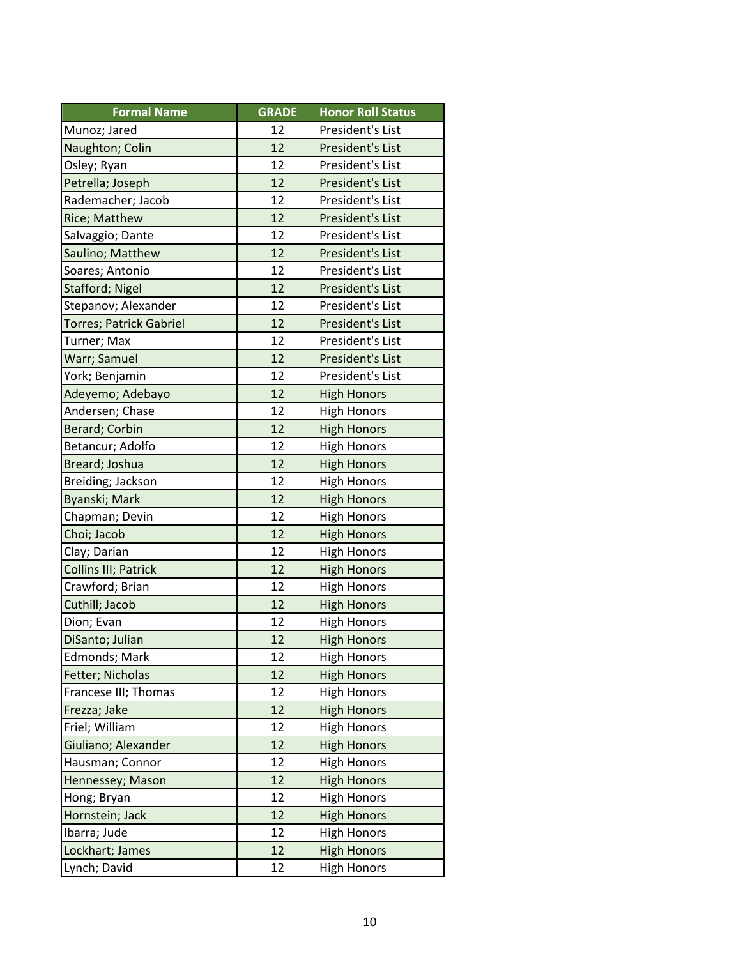| <b>Formal Name</b>      | <b>GRADE</b> | <b>Honor Roll Status</b> |
|-------------------------|--------------|--------------------------|
| Munoz; Jared            | 12           | President's List         |
| Naughton; Colin         | 12           | President's List         |
| Osley; Ryan             | 12           | President's List         |
| Petrella; Joseph        | 12           | President's List         |
| Rademacher; Jacob       | 12           | President's List         |
| Rice; Matthew           | 12           | President's List         |
| Salvaggio; Dante        | 12           | President's List         |
| Saulino; Matthew        | 12           | President's List         |
| Soares; Antonio         | 12           | President's List         |
| Stafford; Nigel         | 12           | President's List         |
| Stepanov; Alexander     | 12           | President's List         |
| Torres; Patrick Gabriel | 12           | President's List         |
| Turner; Max             | 12           | President's List         |
| Warr; Samuel            | 12           | President's List         |
| York; Benjamin          | 12           | President's List         |
| Adeyemo; Adebayo        | 12           | <b>High Honors</b>       |
| Andersen; Chase         | 12           | <b>High Honors</b>       |
| <b>Berard; Corbin</b>   | 12           | <b>High Honors</b>       |
| Betancur; Adolfo        | 12           | <b>High Honors</b>       |
| Breard; Joshua          | 12           | <b>High Honors</b>       |
| Breiding; Jackson       | 12           | <b>High Honors</b>       |
| Byanski; Mark           | 12           | <b>High Honors</b>       |
| Chapman; Devin          | 12           | <b>High Honors</b>       |
| Choi; Jacob             | 12           | <b>High Honors</b>       |
| Clay; Darian            | 12           | <b>High Honors</b>       |
| Collins III; Patrick    | 12           | <b>High Honors</b>       |
| Crawford; Brian         | 12           | <b>High Honors</b>       |
| Cuthill; Jacob          | 12           | <b>High Honors</b>       |
| Dion; Evan              | 12           | <b>High Honors</b>       |
| DiSanto; Julian         | 12           | <b>High Honors</b>       |
| <b>Edmonds; Mark</b>    | 12           | <b>High Honors</b>       |
| Fetter; Nicholas        | 12           | <b>High Honors</b>       |
| Francese III; Thomas    | 12           | <b>High Honors</b>       |
| Frezza; Jake            | 12           | <b>High Honors</b>       |
| Friel; William          | 12           | <b>High Honors</b>       |
| Giuliano; Alexander     | 12           | <b>High Honors</b>       |
| Hausman; Connor         | 12           | <b>High Honors</b>       |
| Hennessey; Mason        | 12           | <b>High Honors</b>       |
| Hong; Bryan             | 12           | <b>High Honors</b>       |
| Hornstein; Jack         | 12           | <b>High Honors</b>       |
| Ibarra; Jude            | 12           | <b>High Honors</b>       |
| Lockhart; James         | 12           | <b>High Honors</b>       |
| Lynch; David            | 12           | <b>High Honors</b>       |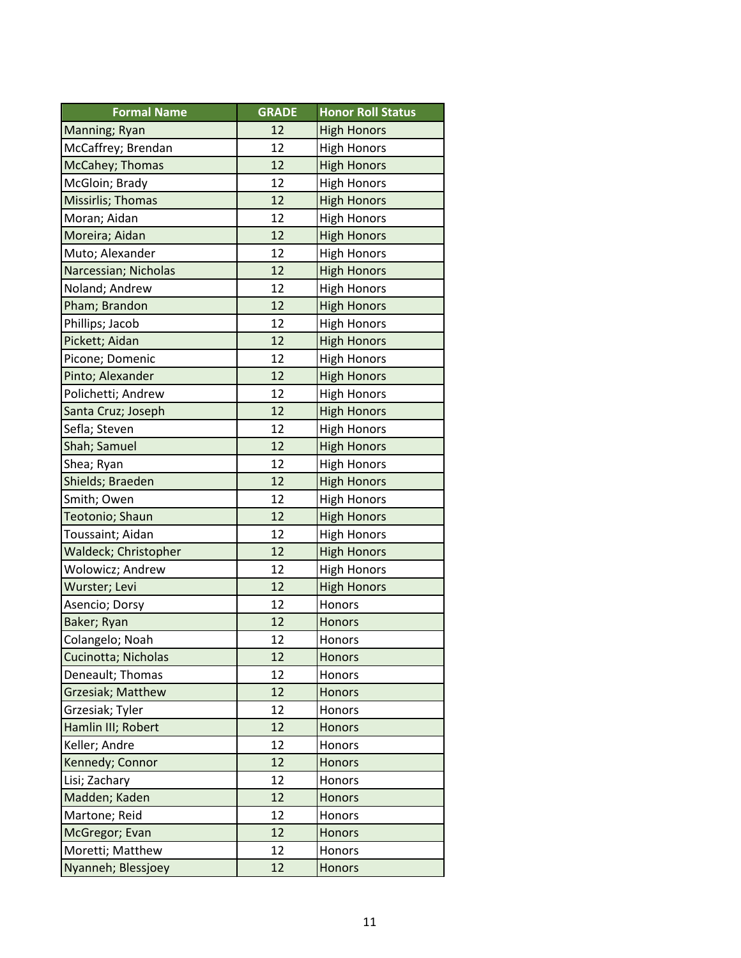| <b>Formal Name</b>       | <b>GRADE</b> | <b>Honor Roll Status</b> |
|--------------------------|--------------|--------------------------|
| Manning; Ryan            | 12           | <b>High Honors</b>       |
| McCaffrey; Brendan       | 12           | <b>High Honors</b>       |
| McCahey; Thomas          | 12           | <b>High Honors</b>       |
| McGloin; Brady           | 12           | <b>High Honors</b>       |
| Missirlis; Thomas        | 12           | <b>High Honors</b>       |
| Moran; Aidan             | 12           | <b>High Honors</b>       |
| Moreira; Aidan           | 12           | <b>High Honors</b>       |
| Muto; Alexander          | 12           | <b>High Honors</b>       |
| Narcessian; Nicholas     | 12           | <b>High Honors</b>       |
| Noland; Andrew           | 12           | <b>High Honors</b>       |
| Pham; Brandon            | 12           | <b>High Honors</b>       |
| Phillips; Jacob          | 12           | <b>High Honors</b>       |
| Pickett; Aidan           | 12           | <b>High Honors</b>       |
| Picone; Domenic          | 12           | <b>High Honors</b>       |
| Pinto; Alexander         | 12           | <b>High Honors</b>       |
| Polichetti; Andrew       | 12           | <b>High Honors</b>       |
| Santa Cruz; Joseph       | 12           | <b>High Honors</b>       |
| Sefla; Steven            | 12           | <b>High Honors</b>       |
| Shah; Samuel             | 12           | <b>High Honors</b>       |
| Shea; Ryan               | 12           | <b>High Honors</b>       |
| Shields; Braeden         | 12           | <b>High Honors</b>       |
| Smith; Owen              | 12           | <b>High Honors</b>       |
| Teotonio; Shaun          | 12           | <b>High Honors</b>       |
| Toussaint; Aidan         | 12           | <b>High Honors</b>       |
| Waldeck; Christopher     | 12           | <b>High Honors</b>       |
| Wolowicz; Andrew         | 12           | <b>High Honors</b>       |
| Wurster; Levi            | 12           | <b>High Honors</b>       |
| Asencio; Dorsy           | 12           | Honors                   |
| Baker; Ryan              | 12           | Honors                   |
| Colangelo; Noah          | 12           | Honors                   |
| Cucinotta; Nicholas      | 12           | <b>Honors</b>            |
| Deneault; Thomas         | 12           | Honors                   |
| <b>Grzesiak; Matthew</b> | 12           | <b>Honors</b>            |
| Grzesiak; Tyler          | 12           | Honors                   |
| Hamlin III; Robert       | 12           | Honors                   |
| Keller; Andre            | 12           | Honors                   |
| Kennedy; Connor          | 12           | <b>Honors</b>            |
| Lisi; Zachary            | 12           | Honors                   |
| Madden; Kaden            | 12           | Honors                   |
| Martone; Reid            | 12           | Honors                   |
| McGregor; Evan           | 12           | Honors                   |
| Moretti; Matthew         | 12           | Honors                   |
| Nyanneh; Blessjoey       | 12           | Honors                   |